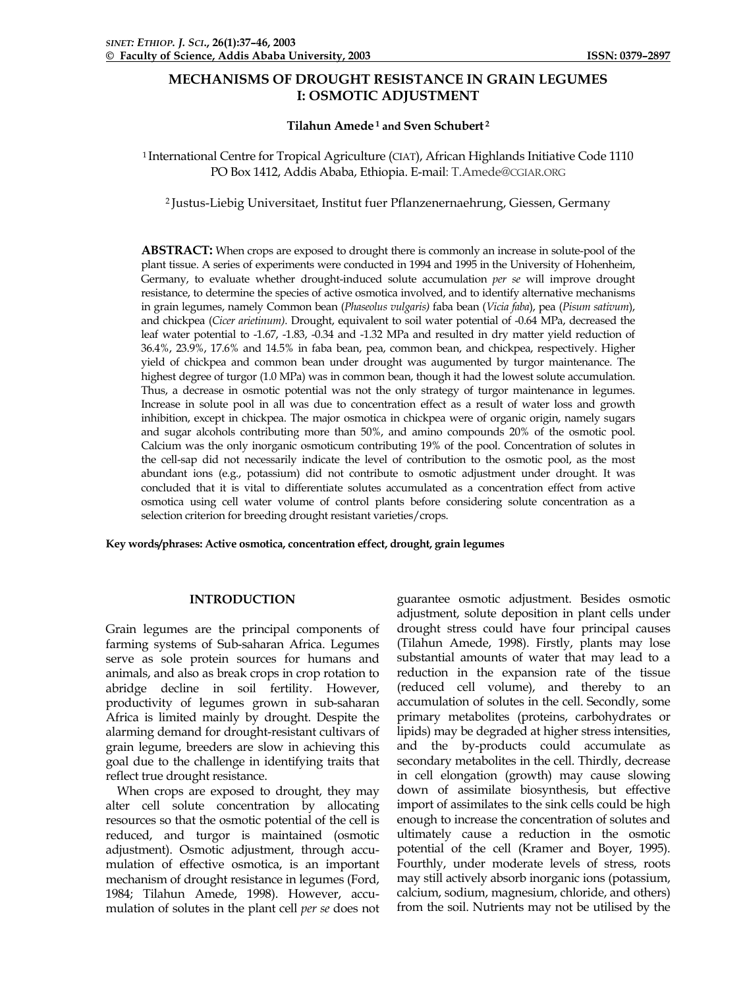# **MECHANISMS OF DROUGHT RESISTANCE IN GRAIN LEGUMES I: OSMOTIC ADJUSTMENT**

## **Tilahun Amede 1 and Sven Schubert 2**

1 International Centre for Tropical Agriculture (CIAT), African Highlands Initiative Code 1110 PO Box 1412, Addis Ababa, Ethiopia. E-mail: [T.Amede@CGIAR.ORG](mailto:T.Amede@cgiar.org)

2 Justus-Liebig Universitaet, Institut fuer Pflanzenernaehrung, Giessen, Germany

**ABSTRACT:** When crops are exposed to drought there is commonly an increase in solute-pool of the plant tissue. A series of experiments were conducted in 1994 and 1995 in the University of Hohenheim, Germany, to evaluate whether drought-induced solute accumulation *per se* will improve drought resistance, to determine the species of active osmotica involved, and to identify alternative mechanisms in grain legumes, namely Common bean (*Phaseolus vulgaris)* faba bean (*Vicia faba*), pea (*Pisum sativum*), and chickpea (*Cicer arietinum)*. Drought, equivalent to soil water potential of -0.64 MPa, decreased the leaf water potential to -1.67, -1.83, -0.34 and -1.32 MPa and resulted in dry matter yield reduction of 36.4%, 23.9%, 17.6% and 14.5% in faba bean, pea, common bean, and chickpea, respectively. Higher yield of chickpea and common bean under drought was augumented by turgor maintenance. The highest degree of turgor (1.0 MPa) was in common bean, though it had the lowest solute accumulation. Thus, a decrease in osmotic potential was not the only strategy of turgor maintenance in legumes. Increase in solute pool in all was due to concentration effect as a result of water loss and growth inhibition, except in chickpea. The major osmotica in chickpea were of organic origin, namely sugars and sugar alcohols contributing more than 50%, and amino compounds 20% of the osmotic pool. Calcium was the only inorganic osmoticum contributing 19% of the pool. Concentration of solutes in the cell-sap did not necessarily indicate the level of contribution to the osmotic pool, as the most abundant ions (e.g., potassium) did not contribute to osmotic adjustment under drought. It was concluded that it is vital to differentiate solutes accumulated as a concentration effect from active osmotica using cell water volume of control plants before considering solute concentration as a selection criterion for breeding drought resistant varieties/crops.

**Key words/phrases: Active osmotica, concentration effect, drought, grain legumes** 

## **INTRODUCTION**

Grain legumes are the principal components of farming systems of Sub-saharan Africa. Legumes serve as sole protein sources for humans and animals, and also as break crops in crop rotation to abridge decline in soil fertility. However, productivity of legumes grown in sub-saharan Africa is limited mainly by drought. Despite the alarming demand for drought-resistant cultivars of grain legume, breeders are slow in achieving this goal due to the challenge in identifying traits that reflect true drought resistance.

 When crops are exposed to drought, they may alter cell solute concentration by allocating resources so that the osmotic potential of the cell is reduced, and turgor is maintained (osmotic adjustment). Osmotic adjustment, through accumulation of effective osmotica, is an important mechanism of drought resistance in legumes (Ford, 1984; Tilahun Amede, 1998). However, accumulation of solutes in the plant cell *per se* does not

guarantee osmotic adjustment. Besides osmotic adjustment, solute deposition in plant cells under drought stress could have four principal causes (Tilahun Amede, 1998). Firstly, plants may lose substantial amounts of water that may lead to a reduction in the expansion rate of the tissue (reduced cell volume), and thereby to an accumulation of solutes in the cell. Secondly, some primary metabolites (proteins, carbohydrates or lipids) may be degraded at higher stress intensities, and the by-products could accumulate as secondary metabolites in the cell. Thirdly, decrease in cell elongation (growth) may cause slowing down of assimilate biosynthesis, but effective import of assimilates to the sink cells could be high enough to increase the concentration of solutes and ultimately cause a reduction in the osmotic potential of the cell (Kramer and Boyer, 1995). Fourthly, under moderate levels of stress, roots may still actively absorb inorganic ions (potassium, calcium, sodium, magnesium, chloride, and others) from the soil. Nutrients may not be utilised by the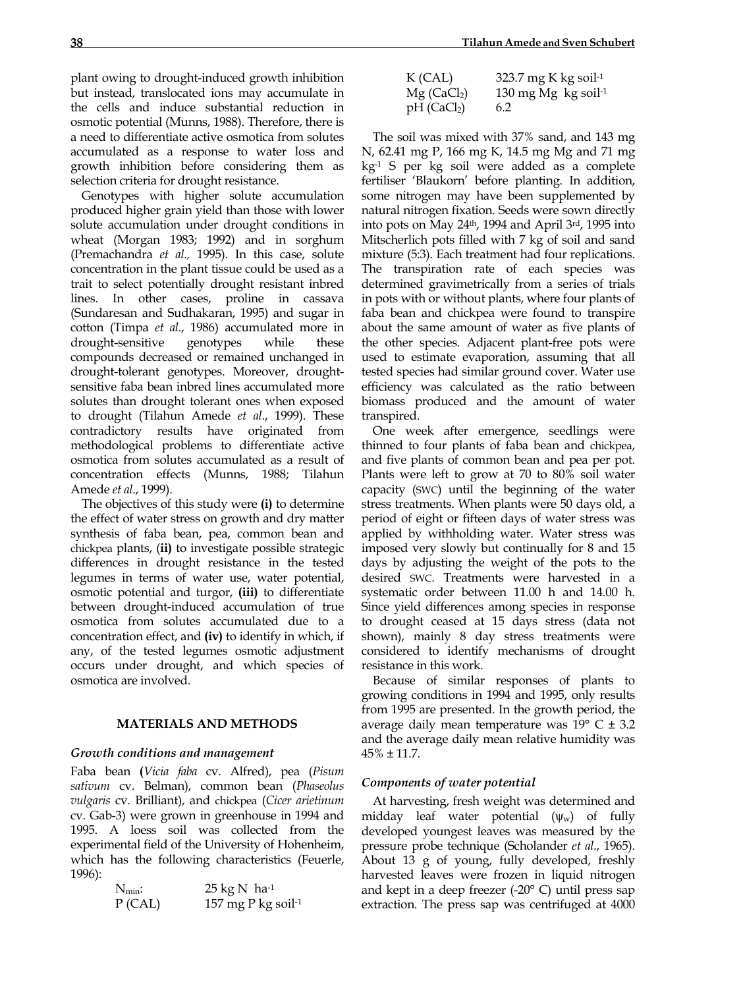plant owing to drought-induced growth inhibition but instead, translocated ions may accumulate in the cells and induce substantial reduction in osmotic potential (Munns, 1988). Therefore, there is a need to differentiate active osmotica from solutes accumulated as a response to water loss and growth inhibition before considering them as selection criteria for drought resistance.

 Genotypes with higher solute accumulation produced higher grain yield than those with lower solute accumulation under drought conditions in wheat (Morgan 1983; 1992) and in sorghum (Premachandra *et al.,* 1995). In this case, solute concentration in the plant tissue could be used as a trait to select potentially drought resistant inbred lines. In other cases, proline in cassava (Sundaresan and Sudhakaran, 1995) and sugar in cotton (Timpa *et al*., 1986) accumulated more in drought-sensitive genotypes while these compounds decreased or remained unchanged in drought-tolerant genotypes. Moreover, droughtsensitive faba bean inbred lines accumulated more solutes than drought tolerant ones when exposed to drought (Tilahun Amede *et al*., 1999). These contradictory results have originated from methodological problems to differentiate active osmotica from solutes accumulated as a result of concentration effects (Munns, 1988; Tilahun Amede *et al*., 1999).

 The objectives of this study were **(i)** to determine the effect of water stress on growth and dry matter synthesis of faba bean, pea, common bean and chickpea plants, (**ii)** to investigate possible strategic differences in drought resistance in the tested legumes in terms of water use, water potential, osmotic potential and turgor, **(iii)** to differentiate between drought-induced accumulation of true osmotica from solutes accumulated due to a concentration effect, and **(iv)** to identify in which, if any, of the tested legumes osmotic adjustment occurs under drought, and which species of osmotica are involved.

## **MATERIALS AND METHODS**

### *Growth conditions and management*

Faba bean **(***Vicia faba* cv. Alfred), pea (*Pisum sativum* cv. Belman), common bean (*Phaseolus vulgaris* cv. Brilliant), and chickpea (*Cicer arietinum* cv. Gab-3) were grown in greenhouse in 1994 and 1995. A loess soil was collected from the experimental field of the University of Hohenheim, which has the following characteristics (Feuerle, 1996):

| $N_{min}$ : | $25 \text{ kg} \text{N}$ ha-1  |
|-------------|--------------------------------|
| $P$ (CAL)   | 157 mg P kg soil <sup>-1</sup> |

| K (CAL)                   | 323.7 mg K kg soil <sup>-1</sup>  |
|---------------------------|-----------------------------------|
| $Mg$ (CaCl <sub>2</sub> ) | 130 mg Mg $kg$ soil <sup>-1</sup> |
| $pH$ (CaCl <sub>2</sub> ) | 6.2                               |

 The soil was mixed with 37% sand, and 143 mg N, 62.41 mg P, 166 mg K, 14.5 mg Mg and 71 mg kg-1 S per kg soil were added as a complete fertiliser 'Blaukorn' before planting. In addition, some nitrogen may have been supplemented by natural nitrogen fixation. Seeds were sown directly into pots on May 24th, 1994 and April 3rd, 1995 into Mitscherlich pots filled with 7 kg of soil and sand mixture (5:3). Each treatment had four replications. The transpiration rate of each species was determined gravimetrically from a series of trials in pots with or without plants, where four plants of faba bean and chickpea were found to transpire about the same amount of water as five plants of the other species. Adjacent plant-free pots were used to estimate evaporation, assuming that all tested species had similar ground cover. Water use efficiency was calculated as the ratio between biomass produced and the amount of water transpired.

 One week after emergence, seedlings were thinned to four plants of faba bean and chickpea, and five plants of common bean and pea per pot. Plants were left to grow at 70 to 80% soil water capacity (SWC) until the beginning of the water stress treatments. When plants were 50 days old, a period of eight or fifteen days of water stress was applied by withholding water. Water stress was imposed very slowly but continually for 8 and 15 days by adjusting the weight of the pots to the desired SWC. Treatments were harvested in a systematic order between 11.00 h and 14.00 h. Since yield differences among species in response to drought ceased at 15 days stress (data not shown), mainly 8 day stress treatments were considered to identify mechanisms of drought resistance in this work.

 Because of similar responses of plants to growing conditions in 1994 and 1995, only results from 1995 are presented. In the growth period, the average daily mean temperature was  $19^{\circ}$  C  $\pm$  3.2 and the average daily mean relative humidity was 45% ± 11.7.

### *Components of water potential*

 At harvesting, fresh weight was determined and midday leaf water potential  $(\psi_w)$  of fully developed youngest leaves was measured by the pressure probe technique (Scholander *et al*., 1965). About 13 g of young, fully developed, freshly harvested leaves were frozen in liquid nitrogen and kept in a deep freezer (-20° C) until press sap extraction. The press sap was centrifuged at 4000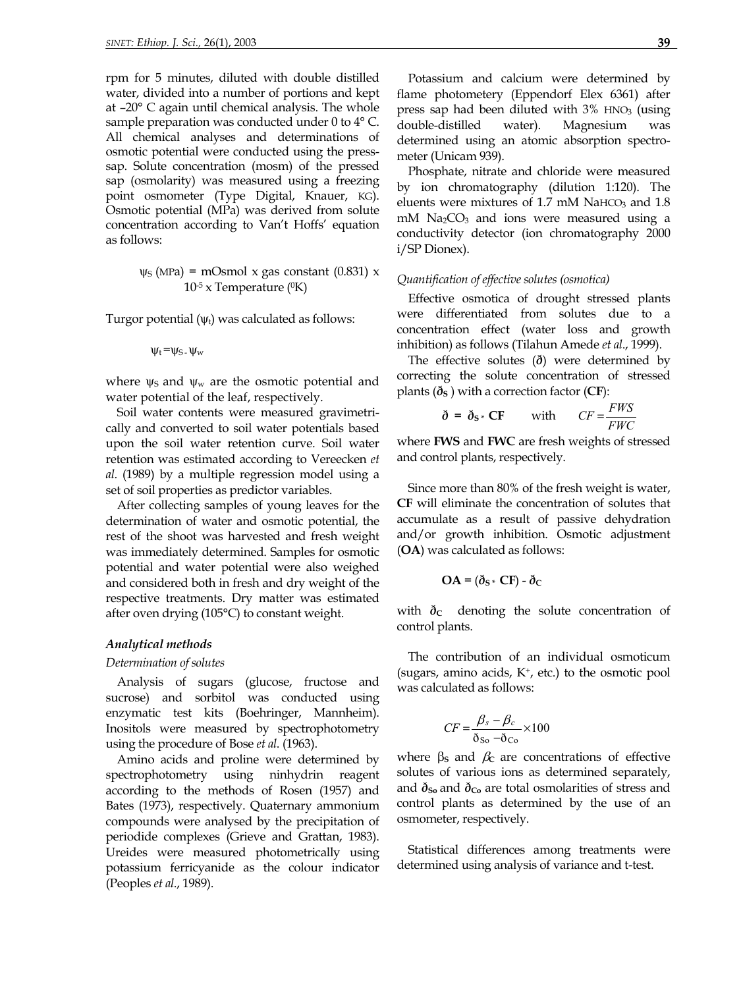rpm for 5 minutes, diluted with double distilled water, divided into a number of portions and kept at –20° C again until chemical analysis. The whole sample preparation was conducted under 0 to  $4^{\circ}$  C. All chemical analyses and determinations of osmotic potential were conducted using the presssap. Solute concentration (mosm) of the pressed sap (osmolarity) was measured using a freezing point osmometer (Type Digital, Knauer, KG). Osmotic potential (MPa) was derived from solute concentration according to Van't Hoffs' equation as follows:

$$
\psi_{S} \text{ (MPa)} = \text{mOsmol x gas constant (0.831) x}
$$

$$
10^{-5} \text{ x Temperature (}^{\text{o}}\text{K)}
$$

Turgor potential  $(\psi_t)$  was calculated as follows:

$$
\psi_t = \psi_S \cdot \psi_w
$$

where  $\psi$ s and  $\psi$ <sub>w</sub> are the osmotic potential and water potential of the leaf, respectively.

Soil water contents were measured gravimetrically and converted to soil water potentials based upon the soil water retention curve. Soil water retention was estimated according to Vereecken *et al*. (1989) by a multiple regression model using a set of soil properties as predictor variables.

After collecting samples of young leaves for the determination of water and osmotic potential, the rest of the shoot was harvested and fresh weight was immediately determined. Samples for osmotic potential and water potential were also weighed and considered both in fresh and dry weight of the respective treatments. Dry matter was estimated after oven drying (105°C) to constant weight.

## *Analytical methods*

#### *Determination of solutes*

Analysis of sugars (glucose, fructose and sucrose) and sorbitol was conducted using enzymatic test kits (Boehringer, Mannheim). Inositols were measured by spectrophotometry using the procedure of Bose *et al*. (1963).

Amino acids and proline were determined by spectrophotometry using ninhydrin reagent according to the methods of Rosen (1957) and Bates (1973), respectively. Quaternary ammonium compounds were analysed by the precipitation of periodide complexes (Grieve and Grattan, 1983). Ureides were measured photometrically using potassium ferricyanide as the colour indicator (Peoples *et al*., 1989).

Potassium and calcium were determined by flame photometery (Eppendorf Elex 6361) after press sap had been diluted with  $3\%$  HNO<sub>3</sub> (using double-distilled water). Magnesium was determined using an atomic absorption spectrometer (Unicam 939).

Phosphate, nitrate and chloride were measured by ion chromatography (dilution 1:120). The eluents were mixtures of 1.7 mM NaHCO<sub>3</sub> and 1.8  $m$ M Na<sub>2</sub>CO<sub>3</sub> and ions were measured using a conductivity detector (ion chromatography 2000 i/SP Dionex).

## *Quantification of effective solutes (osmotica)*

Effective osmotica of drought stressed plants were differentiated from solutes due to a concentration effect (water loss and growth inhibition) as follows (Tilahun Amede *et al*., 1999).

The effective solutes (*ð*) were determined by correcting the solute concentration of stressed plants  $(\delta_{\rm S})$  with a correction factor (CF):

$$
\delta = \delta_{S^*} CF \quad \text{with} \quad CF = \frac{FWS}{FWC}
$$

where **FWS** and **FWC** are fresh weights of stressed and control plants, respectively.

Since more than 80% of the fresh weight is water, **CF** will eliminate the concentration of solutes that accumulate as a result of passive dehydration and/or growth inhibition. Osmotic adjustment (**OA**) was calculated as follows:

$$
OA = (\delta_{S^*} CF) - \delta_C
$$

with  $\delta_c$  denoting the solute concentration of control plants.

The contribution of an individual osmoticum (sugars, amino acids,  $K^+$ , etc.) to the osmotic pool was calculated as follows:

$$
CF = \frac{\beta_s - \beta_c}{\delta_{\text{So}} - \delta_{\text{Co}}} \times 100
$$

where  $β$ **s** and  $β$ c are concentrations of effective solutes of various ions as determined separately, and  $\delta_{\text{So}}$  and  $\delta_{\text{Co}}$  are total osmolarities of stress and control plants as determined by the use of an osmometer, respectively.

Statistical differences among treatments were determined using analysis of variance and t-test.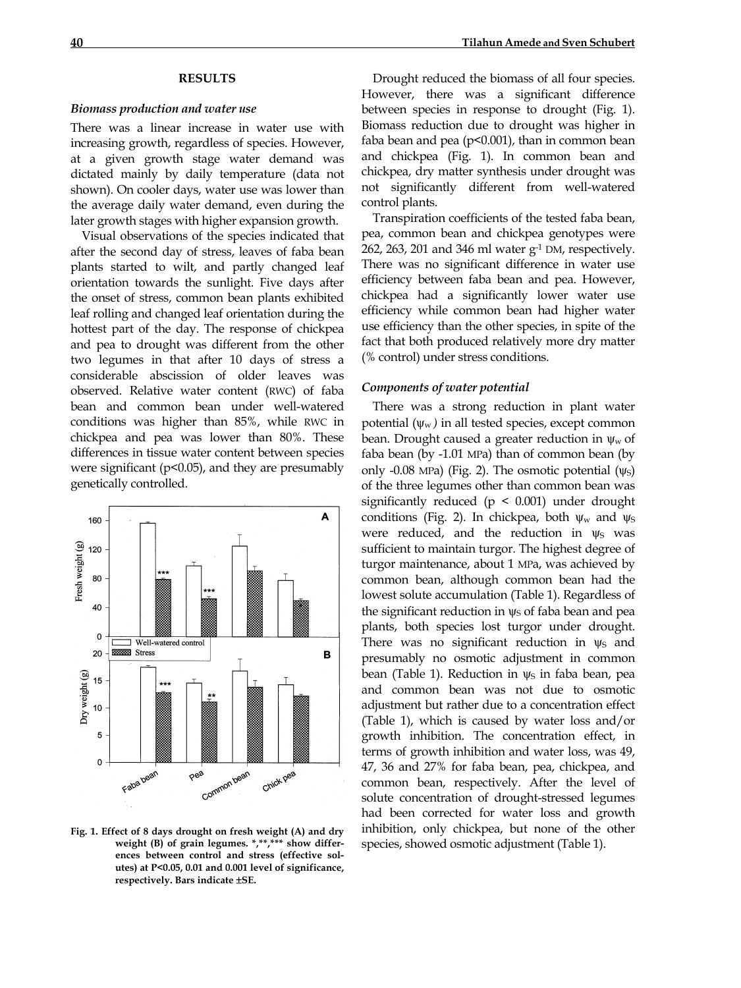### **RESULTS**

#### *Biomass production and water use*

There was a linear increase in water use with increasing growth, regardless of species. However, at a given growth stage water demand was dictated mainly by daily temperature (data not shown). On cooler days, water use was lower than the average daily water demand, even during the later growth stages with higher expansion growth.

Visual observations of the species indicated that after the second day of stress, leaves of faba bean plants started to wilt, and partly changed leaf orientation towards the sunlight. Five days after the onset of stress, common bean plants exhibited leaf rolling and changed leaf orientation during the hottest part of the day. The response of chickpea and pea to drought was different from the other two legumes in that after 10 days of stress a considerable abscission of older leaves was observed. Relative water content (RWC) of faba bean and common bean under well-watered conditions was higher than 85%, while RWC in chickpea and pea was lower than 80%. These differences in tissue water content between species were significant (p<0.05), and they are presumably genetically controlled.



**Fig. 1. Effect of 8 days drought on fresh weight (A) and dry weight (B) of grain legumes. \*,\*\*,\*\*\* show differences between control and stress (effective solutes) at P<0.05, 0.01 and 0.001 level of significance, respectively. Bars indicate** ±**SE.** 

Drought reduced the biomass of all four species. However, there was a significant difference between species in response to drought (Fig. 1). Biomass reduction due to drought was higher in faba bean and pea (p<0.001), than in common bean and chickpea (Fig. 1). In common bean and chickpea, dry matter synthesis under drought was not significantly different from well-watered control plants.

Transpiration coefficients of the tested faba bean, pea, common bean and chickpea genotypes were 262, 263, 201 and 346 ml water g-1 DM, respectively. There was no significant difference in water use efficiency between faba bean and pea. However, chickpea had a significantly lower water use efficiency while common bean had higher water use efficiency than the other species, in spite of the fact that both produced relatively more dry matter (% control) under stress conditions.

### *Components of water potential*

There was a strong reduction in plant water potential  $(\psi_w)$  in all tested species, except common bean. Drought caused a greater reduction in  $\psi_w$  of faba bean (by -1.01 MPa) than of common bean (by only -0.08 MPa) (Fig. 2). The osmotic potential  $(\psi_S)$ of the three legumes other than common bean was significantly reduced ( $p \leq 0.001$ ) under drought conditions (Fig. 2). In chickpea, both  $\psi_w$  and  $\psi_s$ were reduced, and the reduction in  $\psi_S$  was sufficient to maintain turgor. The highest degree of turgor maintenance, about 1 MPa, was achieved by common bean, although common bean had the lowest solute accumulation (Table 1). Regardless of the significant reduction in  $\psi$ s of faba bean and pea plants, both species lost turgor under drought. There was no significant reduction in  $\psi_S$  and presumably no osmotic adjustment in common bean (Table 1). Reduction in  $\psi$ s in faba bean, pea and common bean was not due to osmotic adjustment but rather due to a concentration effect (Table 1), which is caused by water loss and/or growth inhibition. The concentration effect, in terms of growth inhibition and water loss, was 49, 47, 36 and 27% for faba bean, pea, chickpea, and common bean, respectively. After the level of solute concentration of drought-stressed legumes had been corrected for water loss and growth inhibition, only chickpea, but none of the other species, showed osmotic adjustment (Table 1).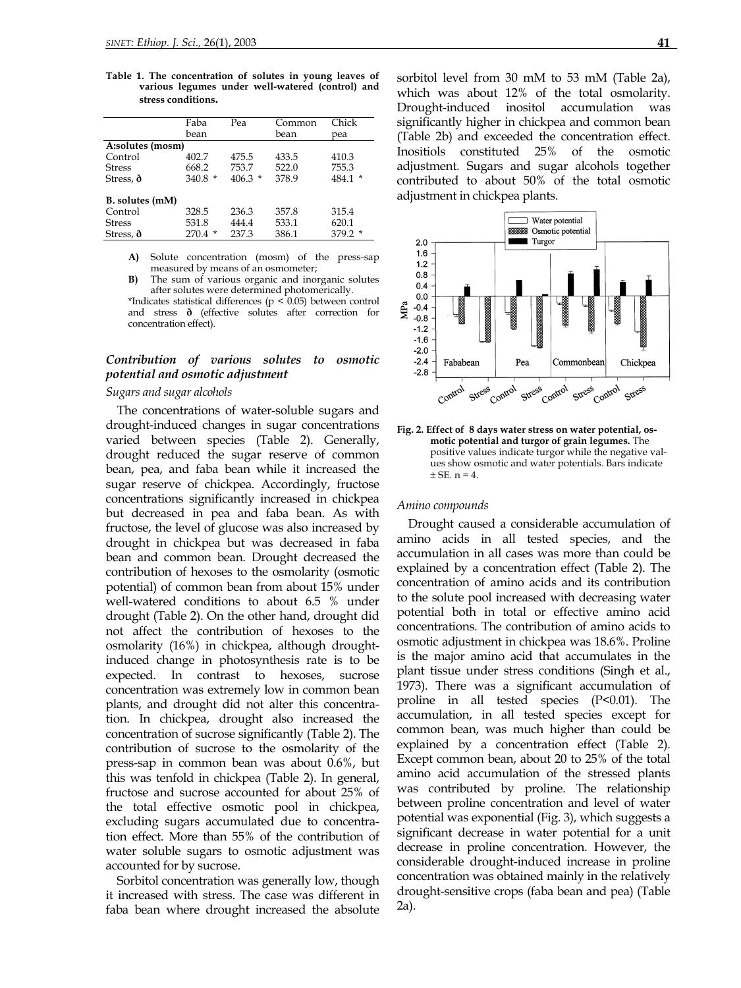**Table 1. The concentration of solutes in young leaves of various legumes under well-watered (control) and stress conditions.**

|                  | Faba       | Pea      | Common | Chick     |  |  |
|------------------|------------|----------|--------|-----------|--|--|
|                  | bean       |          | bean   | pea       |  |  |
| A:solutes (mosm) |            |          |        |           |  |  |
| Control          | 402.7      | 475.5    | 433.5  | 410.3     |  |  |
| <b>Stress</b>    | 668.2      | 753.7    | 522.0  | 755.3     |  |  |
| Stress, $\delta$ | $340.8*$   | $406.3*$ | 378.9  | $484.1*$  |  |  |
| B. solutes (mM)  |            |          |        |           |  |  |
| Control          | 328.5      | 236.3    | 357.8  | 315.4     |  |  |
| <b>Stress</b>    | 531.8      | 444.4    | 533.1  | 620.1     |  |  |
| Stress, $\delta$ | 270.4<br>* | 237.3    | 386.1  | $379.2$ * |  |  |

**A)** Solute concentration (mosm) of the press-sap measured by means of an osmometer;

**B)** The sum of various organic and inorganic solutes after solutes were determined photomerically.

\*Indicates statistical differences ( $p < 0.05$ ) between control and stress **ð** (effective solutes after correction for concentration effect).

## *Contribution of various solutes to osmotic potential and osmotic adjustment*

## *Sugars and sugar alcohols*

The concentrations of water-soluble sugars and drought-induced changes in sugar concentrations varied between species (Table 2). Generally, drought reduced the sugar reserve of common bean, pea, and faba bean while it increased the sugar reserve of chickpea. Accordingly, fructose concentrations significantly increased in chickpea but decreased in pea and faba bean. As with fructose, the level of glucose was also increased by drought in chickpea but was decreased in faba bean and common bean. Drought decreased the contribution of hexoses to the osmolarity (osmotic potential) of common bean from about 15% under well-watered conditions to about 6.5 % under drought (Table 2). On the other hand, drought did not affect the contribution of hexoses to the osmolarity (16%) in chickpea, although droughtinduced change in photosynthesis rate is to be expected. In contrast to hexoses, sucrose concentration was extremely low in common bean plants, and drought did not alter this concentration. In chickpea, drought also increased the concentration of sucrose significantly (Table 2). The contribution of sucrose to the osmolarity of the press-sap in common bean was about 0.6%, but this was tenfold in chickpea (Table 2). In general, fructose and sucrose accounted for about 25% of the total effective osmotic pool in chickpea, excluding sugars accumulated due to concentration effect. More than 55% of the contribution of water soluble sugars to osmotic adjustment was accounted for by sucrose.

Sorbitol concentration was generally low, though it increased with stress. The case was different in faba bean where drought increased the absolute sorbitol level from 30 mM to 53 mM (Table 2a), which was about 12% of the total osmolarity. Drought-induced inositol accumulation was significantly higher in chickpea and common bean (Table 2b) and exceeded the concentration effect. Inositiols constituted 25% of the osmotic adjustment. Sugars and sugar alcohols together contributed to about 50% of the total osmotic adjustment in chickpea plants.



**Fig. 2. Effect of 8 days water stress on water potential, osmotic potential and turgor of grain legumes.** The positive values indicate turgor while the negative values show osmotic and water potentials. Bars indicate  $+$  SE<sub>n</sub> = 4

#### *Amino compounds*

Drought caused a considerable accumulation of amino acids in all tested species, and the accumulation in all cases was more than could be explained by a concentration effect (Table 2). The concentration of amino acids and its contribution to the solute pool increased with decreasing water potential both in total or effective amino acid concentrations. The contribution of amino acids to osmotic adjustment in chickpea was 18.6%. Proline is the major amino acid that accumulates in the plant tissue under stress conditions (Singh et al., 1973). There was a significant accumulation of proline in all tested species (P<0.01). The accumulation, in all tested species except for common bean, was much higher than could be explained by a concentration effect (Table 2). Except common bean, about 20 to 25% of the total amino acid accumulation of the stressed plants was contributed by proline. The relationship between proline concentration and level of water potential was exponential (Fig. 3), which suggests a significant decrease in water potential for a unit decrease in proline concentration. However, the considerable drought-induced increase in proline concentration was obtained mainly in the relatively drought-sensitive crops (faba bean and pea) (Table 2a).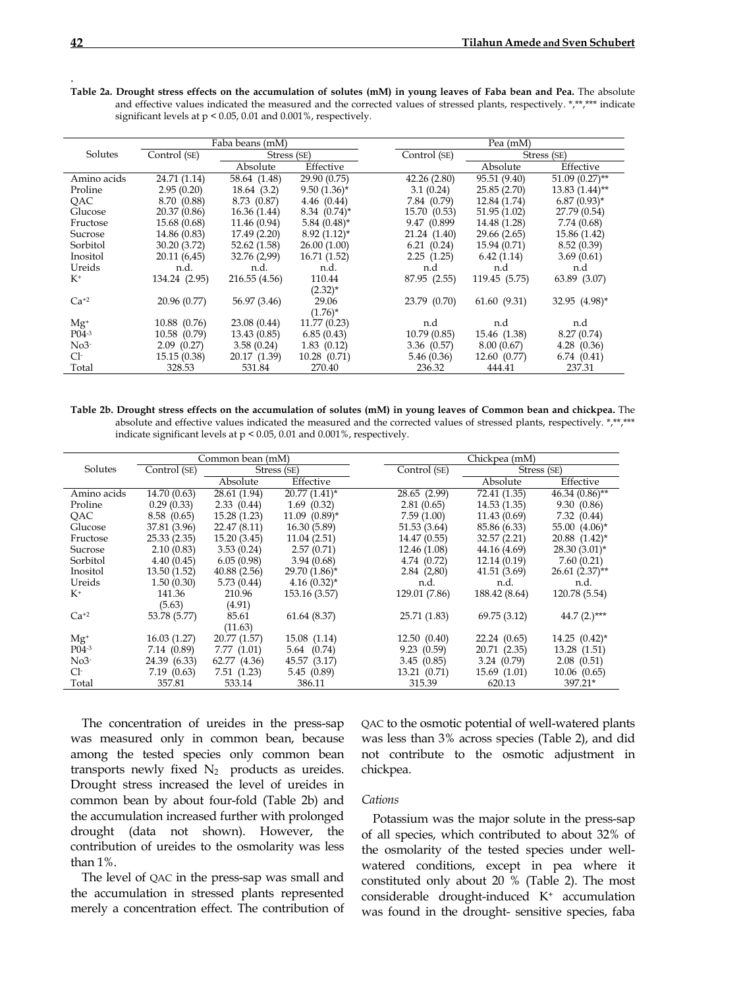| Faba beans (mM) |               |               |                   | Pea (mM)     |               |                  |  |
|-----------------|---------------|---------------|-------------------|--------------|---------------|------------------|--|
| Solutes         | Control (SE)  | Stress (SE)   |                   | Control (SE) | Stress (SE)   |                  |  |
|                 |               | Absolute      | Effective         |              | Absolute      | Effective        |  |
| Amino acids     | 24.71 (1.14)  | 58.64 (1.48)  | 29.90 (0.75)      | 42.26(2.80)  | 95.51 (9.40)  | $51.09(0.27)$ ** |  |
| Proline         | 2.95(0.20)    | 18.64 (3.2)   | $9.50(1.36)^*$    | 3.1(0.24)    | 25.85(2.70)   | $13.83(1.44)$ ** |  |
| OAC.            | 8.70 (0.88)   | 8.73 (0.87)   | 4.46(0.44)        | 7.84 (0.79)  | 12.84 (1.74)  | $6.87(0.93)$ *   |  |
| Glucose         | 20.37 (0.86)  | 16.36 (1.44)  | $8.34 \ (0.74)^*$ | 15.70 (0.53) | 51.95(1.02)   | 27.79 (0.54)     |  |
| Fructose        | 15.68 (0.68)  | 11.46 (0.94)  | $5.84~(0.48)$ *   | 9.47 (0.899) | 14.48 (1.28)  | 7.74(0.68)       |  |
| Sucrose         | 14.86 (0.83)  | 17.49 (2.20)  | $8.92(1.12)^{*}$  | 21.24 (1.40) | 29.66 (2.65)  | 15.86 (1.42)     |  |
| Sorbitol        | 30.20 (3.72)  | 52.62 (1.58)  | 26.00(1.00)       | 6.21(0.24)   | 15.94 (0.71)  | 8.52(0.39)       |  |
| Inositol        | 20.11(6.45)   | 32.76 (2,99)  | 16.71(1.52)       | 2.25(1.25)   | 6.42(1.14)    | 3.69(0.61)       |  |
| Ureids          | n.d.          | n.d.          | n.d.              | n.d          | n.d           | n.d              |  |
| $K^+$           | 134.24 (2.95) | 216.55 (4.56) | 110.44            | 87.95 (2.55) | 119.45 (5.75) | 63.89 (3.07)     |  |
|                 |               |               | $(2.32)^*$        |              |               |                  |  |
| $Ca^{+2}$       | 20.96 (0.77)  | 56.97 (3.46)  | 29.06             | 23.79 (0.70) | 61.60(9.31)   | 32.95 (4.98)*    |  |
|                 |               |               | $(1.76)^*$        |              |               |                  |  |
| $Mg^+$          | 10.88 (0.76)  | 23.08 (0.44)  | 11.77(0.23)       | n.d          | n.d           | n.d              |  |
| $P_{04-3}$      | 10.58 (0.79)  | 13.43 (0.85)  | 6.85(0.43)        | 10.79(0.85)  | 15.46 (1.38)  | 8.27(0.74)       |  |
| $No3-$          | 2.09(0.27)    | 3.58(0.24)    | 1.83(0.12)        | 3.36(0.57)   | 8.00(0.67)    | 4.28(0.36)       |  |
| Cŀ              | 15.15(0.38)   | 20.17 (1.39)  | 10.28(0.71)       | 5.46(0.36)   | 12.60(0.77)   | 6.74(0.41)       |  |
| Total           | 328.53        | 531.84        | 270.40            | 236.32       | 444.41        | 237.31           |  |

**Table 2a. Drought stress effects on the accumulation of solutes (mM) in young leaves of Faba bean and Pea.** The absolute and effective values indicated the measured and the corrected values of stressed plants, respectively.  $*$ , $**$ , $**$  indicate significant levels at p < 0.05, 0.01 and 0.001%, respectively.

**Table 2b. Drought stress effects on the accumulation of solutes (mM) in young leaves of Common bean and chickpea.** The absolute and effective values indicated the measured and the corrected values of stressed plants, respectively. \*,\*\*,\*\*\* indicate significant levels at p < 0.05, 0.01 and 0.001%, respectively.

| Common bean (mM) |              |              |                    | Chickpea (mM) |               |                               |
|------------------|--------------|--------------|--------------------|---------------|---------------|-------------------------------|
| Solutes          | Control (SE) | Stress (SE)  |                    | Control (SE)  |               | Stress (SE)                   |
|                  |              | Absolute     | Effective          |               | Absolute      | Effective                     |
| Amino acids      | 14.70 (0.63) | 28.61 (1.94) | $20.77(1.41)^*$    | 28.65 (2.99)  | 72.41 (1.35)  | $46.34(0.86)$ **              |
| Proline          | 0.29(0.33)   | 2.33(0.44)   | 1.69(0.32)         | 2.81(0.65)    | 14.53(1.35)   | 9.30(0.86)                    |
| QAC              | 8.58(0.65)   | 15.28(1.23)  | $11.09$ $(0.89)$ * | 7.59(1.00)    | 11.43(0.69)   | 7.32(0.44)                    |
| Glucose          | 37.81 (3.96) | 22.47 (8.11) | 16.30 (5.89)       | 51.53 (3.64)  | 85.86 (6.33)  | 55.00 $(4.06)^*$              |
| Fructose         | 25.33(2.35)  | 15.20 (3.45) | 11.04(2.51)        | 14.47 (0.55)  | 32.57 (2.21)  | $20.88$ $(1.42)^*$            |
| Sucrose          | 2.10(0.83)   | 3.53(0.24)   | 2.57(0.71)         | 12.46 (1.08)  | 44.16 (4.69)  | $28.30(3.01)^{*}$             |
| Sorbitol         | 4.40(0.45)   | 6.05(0.98)   | 3.94(0.68)         | 4.74 (0.72)   | 12.14(0.19)   | 7.60(0.21)                    |
| Inositol         | 13.50(1.52)  | 40.88(2.56)  | $29.70(1.86)$ *    | 2.84(2,80)    | 41.51 (3.69)  | $26.61(2.37)$ **              |
| Ureids           | 1.50(0.30)   | 5.73(0.44)   | $4.16(0.32)$ *     | n.d.          | n.d.          | n.d.                          |
| $K^+$            | 141.36       | 210.96       | 153.16 (3.57)      | 129.01 (7.86) | 188.42 (8.64) | 120.78 (5.54)                 |
|                  | (5.63)       | (4.91)       |                    |               |               |                               |
| $Ca+2$           | 53.78 (5.77) | 85.61        | 61.64 (8.37)       | 25.71 (1.83)  | 69.75 (3.12)  | 44.7 $(2.)^{***}$             |
|                  |              | (11.63)      |                    |               |               |                               |
| $Mg^+$           | 16.03(1.27)  | 20.77 (1.57) | 15.08 (1.14)       | 12.50(0.40)   | 22.24(0.65)   | $14.25$ $(0.42)$ <sup>*</sup> |
| $P_{04-3}$       | 7.14 (0.89)  | 7.77(1.01)   | 5.64 (0.74)        | 9.23(0.59)    | 20.71 (2.35)  | 13.28 (1.51)                  |
| $No3-$           | 24.39 (6.33) | 62.77 (4.36) | 45.57 (3.17)       | 3.45(0.85)    | 3.24(0.79)    | 2.08(0.51)                    |
| Cŀ               | 7.19(0.63)   | 7.51(1.23)   | 5.45(0.89)         | 13.21(0.71)   | 15.69(1.01)   | 10.06(0.65)                   |
| Total            | 357.81       | 533.14       | 386.11             | 315.39        | 620.13        | 397.21*                       |

 The concentration of ureides in the press-sap was measured only in common bean, because among the tested species only common bean transports newly fixed  $N_2$  products as ureides. Drought stress increased the level of ureides in common bean by about four-fold (Table 2b) and the accumulation increased further with prolonged drought (data not shown). However, the contribution of ureides to the osmolarity was less than 1%.

 The level of QAC in the press-sap was small and the accumulation in stressed plants represented merely a concentration effect. The contribution of QAC to the osmotic potential of well-watered plants was less than 3% across species (Table 2), and did not contribute to the osmotic adjustment in chickpea.

## *Cations*

 Potassium was the major solute in the press-sap of all species, which contributed to about 32% of the osmolarity of the tested species under wellwatered conditions, except in pea where it constituted only about 20 % (Table 2). The most considerable drought-induced K+ accumulation was found in the drought- sensitive species, faba

.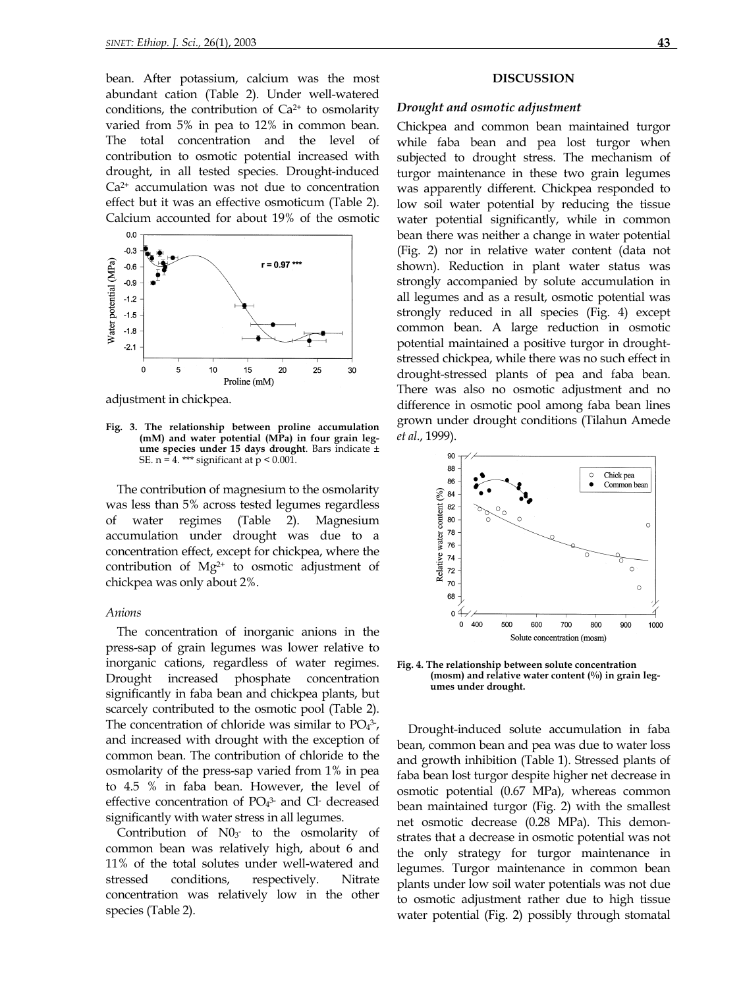bean. After potassium, calcium was the most abundant cation (Table 2). Under well-watered conditions, the contribution of  $Ca<sup>2+</sup>$  to osmolarity varied from 5% in pea to 12% in common bean. The total concentration and the level of contribution to osmotic potential increased with drought, in all tested species. Drought-induced  $Ca<sup>2+</sup>$  accumulation was not due to concentration effect but it was an effective osmoticum (Table 2). Calcium accounted for about 19% of the osmotic



adjustment in chickpea.

**Fig. 3. The relationship between proline accumulation (mM) and water potential (MPa) in four grain legume species under 15 days drought**. Bars indicate ± SE.  $n = 4$ . \*\*\* significant at  $p < 0.001$ .

The contribution of magnesium to the osmolarity was less than 5% across tested legumes regardless of water regimes (Table 2). Magnesium accumulation under drought was due to a concentration effect, except for chickpea, where the contribution of Mg<sup>2+</sup> to osmotic adjustment of chickpea was only about 2%.

## *Anions*

The concentration of inorganic anions in the press-sap of grain legumes was lower relative to inorganic cations, regardless of water regimes. Drought increased phosphate concentration significantly in faba bean and chickpea plants, but scarcely contributed to the osmotic pool (Table 2). The concentration of chloride was similar to  $PO<sub>4</sub><sup>3</sup>$ , and increased with drought with the exception of common bean. The contribution of chloride to the osmolarity of the press-sap varied from 1% in pea to 4.5 % in faba bean. However, the level of effective concentration of  $PO<sub>4</sub><sup>3</sup>$  and Cl decreased significantly with water stress in all legumes.

Contribution of  $N0_3$  to the osmolarity of common bean was relatively high, about 6 and 11% of the total solutes under well-watered and stressed conditions, respectively. Nitrate concentration was relatively low in the other species (Table 2).

### **DISCUSSION**

### *Drought and osmotic adjustment*

Chickpea and common bean maintained turgor while faba bean and pea lost turgor when subjected to drought stress. The mechanism of turgor maintenance in these two grain legumes was apparently different. Chickpea responded to low soil water potential by reducing the tissue water potential significantly, while in common bean there was neither a change in water potential (Fig. 2) nor in relative water content (data not shown). Reduction in plant water status was strongly accompanied by solute accumulation in all legumes and as a result, osmotic potential was strongly reduced in all species (Fig. 4) except common bean. A large reduction in osmotic potential maintained a positive turgor in droughtstressed chickpea, while there was no such effect in drought-stressed plants of pea and faba bean. There was also no osmotic adjustment and no difference in osmotic pool among faba bean lines grown under drought conditions (Tilahun Amede *et al*., 1999).



**Fig. 4. The relationship between solute concentration (mosm) and relative water content (%) in grain legumes under drought.** 

Drought-induced solute accumulation in faba bean, common bean and pea was due to water loss and growth inhibition (Table 1). Stressed plants of faba bean lost turgor despite higher net decrease in osmotic potential (0.67 MPa), whereas common bean maintained turgor (Fig. 2) with the smallest net osmotic decrease (0.28 MPa). This demonstrates that a decrease in osmotic potential was not the only strategy for turgor maintenance in legumes. Turgor maintenance in common bean plants under low soil water potentials was not due to osmotic adjustment rather due to high tissue water potential (Fig. 2) possibly through stomatal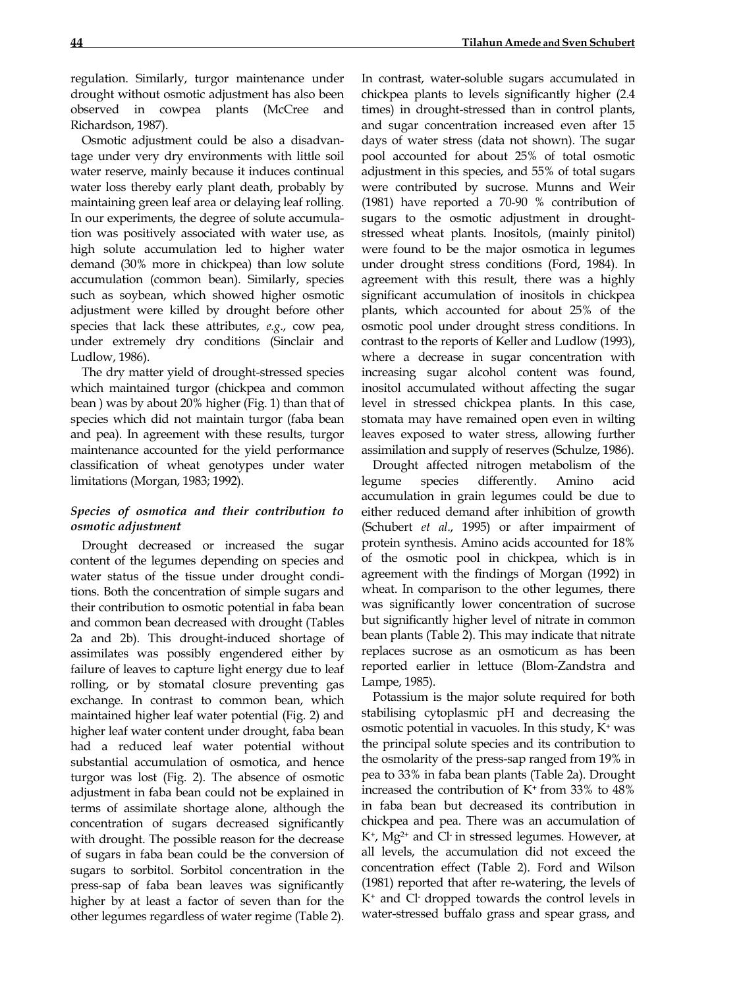regulation. Similarly, turgor maintenance under drought without osmotic adjustment has also been observed in cowpea plants (McCree and Richardson, 1987).

 Osmotic adjustment could be also a disadvantage under very dry environments with little soil water reserve, mainly because it induces continual water loss thereby early plant death, probably by maintaining green leaf area or delaying leaf rolling. In our experiments, the degree of solute accumulation was positively associated with water use, as high solute accumulation led to higher water demand (30% more in chickpea) than low solute accumulation (common bean). Similarly, species such as soybean, which showed higher osmotic adjustment were killed by drought before other species that lack these attributes, *e.g*., cow pea, under extremely dry conditions (Sinclair and Ludlow, 1986).

 The dry matter yield of drought-stressed species which maintained turgor (chickpea and common bean ) was by about 20% higher (Fig. 1) than that of species which did not maintain turgor (faba bean and pea). In agreement with these results, turgor maintenance accounted for the yield performance classification of wheat genotypes under water limitations (Morgan, 1983; 1992).

# *Species of osmotica and their contribution to osmotic adjustment*

 Drought decreased or increased the sugar content of the legumes depending on species and water status of the tissue under drought conditions. Both the concentration of simple sugars and their contribution to osmotic potential in faba bean and common bean decreased with drought (Tables 2a and 2b). This drought-induced shortage of assimilates was possibly engendered either by failure of leaves to capture light energy due to leaf rolling, or by stomatal closure preventing gas exchange. In contrast to common bean, which maintained higher leaf water potential (Fig. 2) and higher leaf water content under drought, faba bean had a reduced leaf water potential without substantial accumulation of osmotica, and hence turgor was lost (Fig. 2). The absence of osmotic adjustment in faba bean could not be explained in terms of assimilate shortage alone, although the concentration of sugars decreased significantly with drought. The possible reason for the decrease of sugars in faba bean could be the conversion of sugars to sorbitol. Sorbitol concentration in the press-sap of faba bean leaves was significantly higher by at least a factor of seven than for the other legumes regardless of water regime (Table 2).

chickpea plants to levels significantly higher (2.4 times) in drought-stressed than in control plants, and sugar concentration increased even after 15 days of water stress (data not shown). The sugar pool accounted for about 25% of total osmotic adjustment in this species, and 55% of total sugars were contributed by sucrose. Munns and Weir (1981) have reported a 70-90 % contribution of sugars to the osmotic adjustment in droughtstressed wheat plants. Inositols, (mainly pinitol) were found to be the major osmotica in legumes under drought stress conditions (Ford, 1984). In agreement with this result, there was a highly significant accumulation of inositols in chickpea plants, which accounted for about 25% of the osmotic pool under drought stress conditions. In contrast to the reports of Keller and Ludlow (1993), where a decrease in sugar concentration with increasing sugar alcohol content was found, inositol accumulated without affecting the sugar level in stressed chickpea plants. In this case, stomata may have remained open even in wilting leaves exposed to water stress, allowing further assimilation and supply of reserves (Schulze, 1986).

 Drought affected nitrogen metabolism of the legume species differently. Amino acid accumulation in grain legumes could be due to either reduced demand after inhibition of growth (Schubert *et al*., 1995) or after impairment of protein synthesis. Amino acids accounted for 18% of the osmotic pool in chickpea, which is in agreement with the findings of Morgan (1992) in wheat. In comparison to the other legumes, there was significantly lower concentration of sucrose but significantly higher level of nitrate in common bean plants (Table 2). This may indicate that nitrate replaces sucrose as an osmoticum as has been reported earlier in lettuce (Blom-Zandstra and Lampe, 1985).

 Potassium is the major solute required for both stabilising cytoplasmic pH and decreasing the osmotic potential in vacuoles. In this study, K+ was the principal solute species and its contribution to the osmolarity of the press-sap ranged from 19% in pea to 33% in faba bean plants (Table 2a). Drought increased the contribution of  $K^+$  from 33% to 48% in faba bean but decreased its contribution in chickpea and pea. There was an accumulation of  $K^+$ ,  $Mg^{2+}$  and Cl in stressed legumes. However, at all levels, the accumulation did not exceed the concentration effect (Table 2). Ford and Wilson (1981) reported that after re-watering, the levels of K+ and Cl- dropped towards the control levels in water-stressed buffalo grass and spear grass, and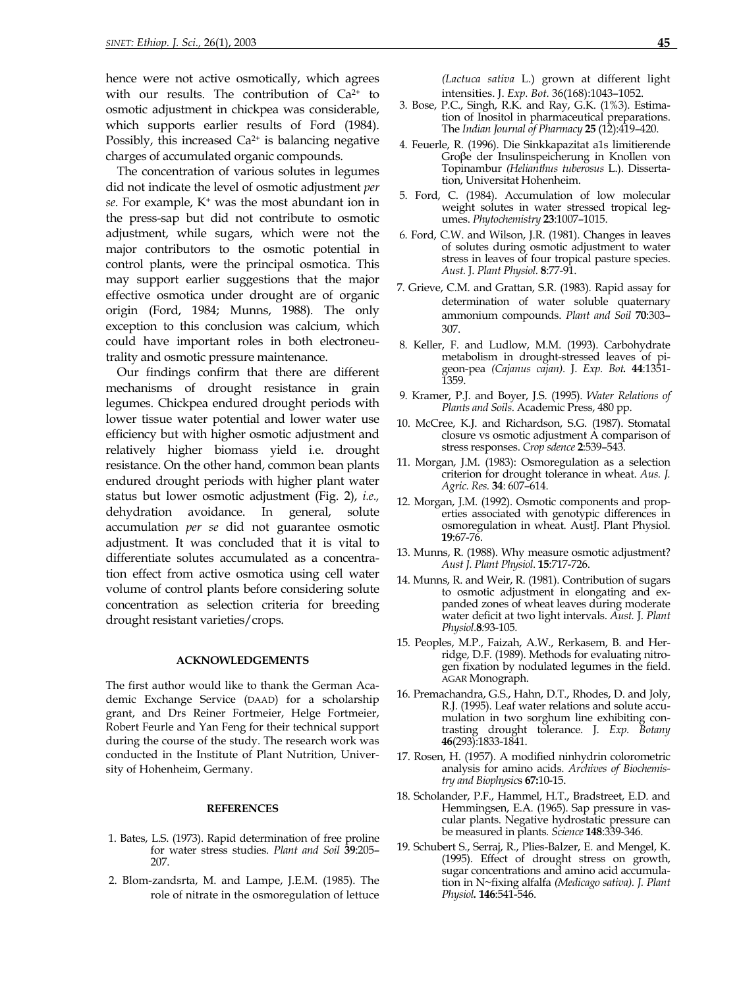hence were not active osmotically, which agrees with our results. The contribution of  $Ca^{2+}$  to osmotic adjustment in chickpea was considerable, which supports earlier results of Ford (1984). Possibly, this increased  $Ca<sup>2+</sup>$  is balancing negative charges of accumulated organic compounds.

The concentration of various solutes in legumes did not indicate the level of osmotic adjustment *per se*. For example, K+ was the most abundant ion in the press-sap but did not contribute to osmotic adjustment, while sugars, which were not the major contributors to the osmotic potential in control plants, were the principal osmotica. This may support earlier suggestions that the major effective osmotica under drought are of organic origin (Ford, 1984; Munns, 1988). The only exception to this conclusion was calcium, which could have important roles in both electroneutrality and osmotic pressure maintenance.

Our findings confirm that there are different mechanisms of drought resistance in grain legumes. Chickpea endured drought periods with lower tissue water potential and lower water use efficiency but with higher osmotic adjustment and relatively higher biomass yield i.e. drought resistance. On the other hand, common bean plants endured drought periods with higher plant water status but lower osmotic adjustment (Fig. 2), *i.e.,* dehydration avoidance. In general, solute accumulation *per se* did not guarantee osmotic adjustment. It was concluded that it is vital to differentiate solutes accumulated as a concentration effect from active osmotica using cell water volume of control plants before considering solute concentration as selection criteria for breeding drought resistant varieties/crops.

### **ACKNOWLEDGEMENTS**

The first author would like to thank the German Academic Exchange Service (DAAD) for a scholarship grant, and Drs Reiner Fortmeier, Helge Fortmeier, Robert Feurle and Yan Feng for their technical support during the course of the study. The research work was conducted in the Institute of Plant Nutrition, University of Hohenheim, Germany.

### **REFERENCES**

- 1. Bates, L.S. (1973). Rapid determination of free proline for water stress studies. *Plant and Soil* **39**:205– 207.
- 2. Blom-zandsrta, M. and Lampe, J.E.M. (1985). The role of nitrate in the osmoregulation of lettuce

*(Lactuca sativa* L.) grown at different light intensities. J. *Exp. Bot.* 36(168):1043–1052.

- 3. Bose, P.C., Singh, R.K. and Ray, G.K. (1%3). Estimation of Inositol in pharmaceutical preparations. The *Indian Journal of Pharmacy* **25** (12):419–420.
- 4. Feuerle, R. (1996). Die Sinkkapazitat a1s limitierende Groβe der Insulinspeicherung in Knollen von Topinambur *(Helianthus tuberosus* L.). Dissertation, Universitat Hohenheim.
- 5. Ford, C. (1984). Accumulation of low molecular weight solutes in water stressed tropical legumes. *Phytochemistry* **23**:1007–1015.
- 6. Ford, C.W. and Wilson, J.R. (1981). Changes in leaves of solutes during osmotic adjustment to water stress in leaves of four tropical pasture species. *Aust.* J. *Plant Physiol.* **8**:77-91.
- 7. Grieve, C.M. and Grattan, S.R. (1983). Rapid assay for determination of water soluble quaternary ammonium compounds. *Plant and Soil* **70**:303– 307.
- 8. Keller, F. and Ludlow, M.M. (1993). Carbohydrate metabolism in drought-stressed leaves of pigeon-pea *(Cajanus cajan).* J. *Exp. Bot.* **44**:1351- 1359.
- 9. Kramer, P.J. and Boyer, J.S. (1995). *Water Relations of Plants and Soils*. Academic Press, 480 pp.
- 10. McCree, K.J. and Richardson, S.G. (1987). Stomatal closure vs osmotic adjustment A comparison of stress responses. *Crop sdence* **2**:539–543.
- 11. Morgan, J.M. (1983): Osmoregulation as a selection criterion for drought tolerance in wheat. *Aus. J. Agric. Res.* **34**: 607–614.
- 12. Morgan, J.M. (1992). Osmotic components and properties associated with genotypic differences in osmoregulation in wheat. AustJ. Plant Physiol. **19**:67-76.
- 13. Munns, R. (1988). Why measure osmotic adjustment? *Aust J. Plant Physiol*. **15**:717-726.
- 14. Munns, R. and Weir, R. (1981). Contribution of sugars to osmotic adjustment in elongating and expanded zones of wheat leaves during moderate water deficit at two light intervals. *Aust.* J. *Plant Physiol.***8***:*93-105*.*
- 15. Peoples, M.P., Faizah, A.W., Rerkasem, B. and Herridge, D.F. (1989). Methods for evaluating nitrogen fixation by nodulated legumes in the field. AGAR Monograph.
- 16. Premachandra, G.S., Hahn, D.T., Rhodes, D. and Joly, R.J. (1995). Leaf water relations and solute accumulation in two sorghum line exhibiting contrasting drought tolerance. J. *Exp. Botany*  **46**(293):1833-1841.
- 17. Rosen, H. (1957). A modified ninhydrin colorometric analysis for amino acids. *Archives of Biochemistry and Biophysic*s **67:**10-15.
- 18. Scholander, P.F., Hammel, H.T., Bradstreet, E.D. and Hemmingsen, E.A. (1965). Sap pressure in vascular plants. Negative hydrostatic pressure can be measured in plants*. Science* **148**:339-346.
- 19. Schubert S., Serraj, R., Plies-Balzer, E. and Mengel, K. (1995). Effect of drought stress on growth, sugar concentrations and amino acid accumulation in N~fixing alfalfa *(Medicago sativa). J. Plant Physiol.* **146**:541-546.